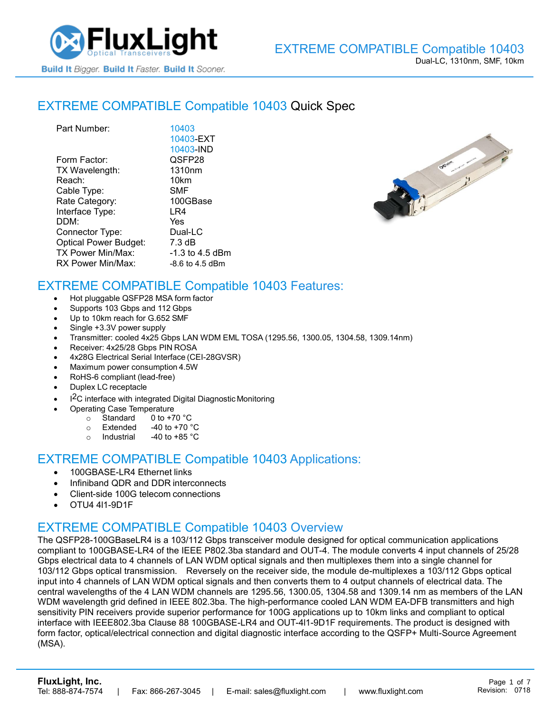

## [EXTREME COMPATIBLE](https://www.fluxlight.com/10403/) Compatible 10403 Quick Spec

| Part Number:                 | 10403              |
|------------------------------|--------------------|
|                              | 10403-EXT          |
|                              | 10403-IND          |
| Form Factor:                 | QSFP28             |
| TX Wavelength:               | 1310 <sub>nm</sub> |
| Reach:                       | 10km               |
| Cable Type:                  | SMF                |
| Rate Category:               | 100GBase           |
| Interface Type:              | LR4                |
| DDM:                         | Yes                |
| Connector Type:              | Dual-LC            |
| <b>Optical Power Budget:</b> | 7.3 dB             |
| TX Power Min/Max:            | -1.3 to 4.5 dBm    |
| RX Power Min/Max:            | $-8.6$ to 4.5 dBm  |



## EXTREME COMPATIBLE Compatible [10403](https://www.fluxlight.com/10403/) Features:

- Hot pluggable QSFP28 MSA form factor
- Supports 103 Gbps and 112 Gbps
- Up to 10km reach for G.652 SMF
- Single +3.3V power supply
- Transmitter: cooled 4x25 Gbps LAN WDM EML TOSA (1295.56, 1300.05, 1304.58, 1309.14nm)
- Receiver: 4x25/28 Gbps PIN ROSA
- 4x28G Electrical Serial Interface (CEI-28GVSR)
- Maximum power consumption 4.5W
- RoHS-6 compliant (lead-free)
- Duplex LC receptacle
- I<sup>2</sup>C interface with integrated Digital Diagnostic Monitoring
	- Operating Case Temperature
		- o Standard 0 to +70 °C
		- $\circ$  Extended -40 to +70  $\degree$ C
		- o Industrial  $-40$  to  $+85$  °C

#### EXTREME COMPATIBLE Compatible [10403](https://www.fluxlight.com/10403/) Applications:

- 100GBASE-LR4 Ethernet links
- Infiniband QDR and DDR interconnects
- Client-side 100G telecom connections
- OTU4 4l1-9D1F

### EXTREME COMPATIBLE Compatible [10403](https://www.fluxlight.com/10403/) Overview

The QSFP28-100GBaseLR4 is a 103/112 Gbps transceiver module designed for optical communication applications compliant to 100GBASE-LR4 of the IEEE P802.3ba standard and OUT-4. The module converts 4 input channels of 25/28 Gbps electrical data to 4 channels of LAN WDM optical signals and then multiplexes them into a single channel for 103/112 Gbps optical transmission. Reversely on the receiver side, the module de-multiplexes a 103/112 Gbps optical input into 4 channels of LAN WDM optical signals and then converts them to 4 output channels of electrical data. The central wavelengths of the 4 LAN WDM channels are 1295.56, 1300.05, 1304.58 and 1309.14 nm as members of the LAN WDM wavelength grid defined in IEEE 802.3ba. The high-performance cooled LAN WDM EA-DFB transmitters and high sensitivity PIN receivers provide superior performance for 100G applications up to 10km links and compliant to optical interface with IEEE802.3ba Clause 88 100GBASE-LR4 and OUT-4l1-9D1F requirements. The product is designed with form factor, optical/electrical connection and digital diagnostic interface according to the QSFP+ Multi-Source Agreement (MSA).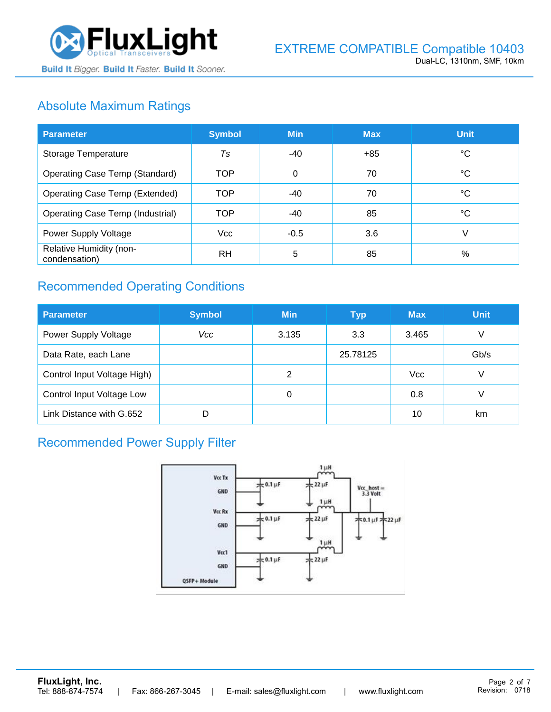

# Absolute Maximum Ratings

| <b>Parameter</b>                         | <b>Symbol</b>  | <b>Min</b> | <b>Max</b> | <b>Unit</b> |
|------------------------------------------|----------------|------------|------------|-------------|
| Storage Temperature                      | T <sub>S</sub> | -40        | $+85$      | °C          |
| Operating Case Temp (Standard)           | <b>TOP</b>     | 0          | 70         | °C          |
| Operating Case Temp (Extended)           | <b>TOP</b>     | $-40$      | 70         | °C          |
| <b>Operating Case Temp (Industrial)</b>  | <b>TOP</b>     | $-40$      | 85         | °C          |
| Power Supply Voltage                     | <b>Vcc</b>     | $-0.5$     | 3.6        | V           |
| Relative Humidity (non-<br>condensation) | <b>RH</b>      | 5          | 85         | %           |

# Recommended Operating Conditions

| <b>Parameter</b>            | <b>Symbol</b> | <b>Min</b> | <b>Typ</b> | <b>Max</b> | <b>Unit</b> |
|-----------------------------|---------------|------------|------------|------------|-------------|
| Power Supply Voltage        | Vcc           | 3.135      | 3.3        | 3.465      | V           |
| Data Rate, each Lane        |               |            | 25.78125   |            | Gb/s        |
| Control Input Voltage High) |               | 2          |            | <b>Vcc</b> | V           |
| Control Input Voltage Low   |               | 0          |            | 0.8        | V           |
| Link Distance with G.652    | D             |            |            | 10         | km          |

### Recommended Power Supply Filter

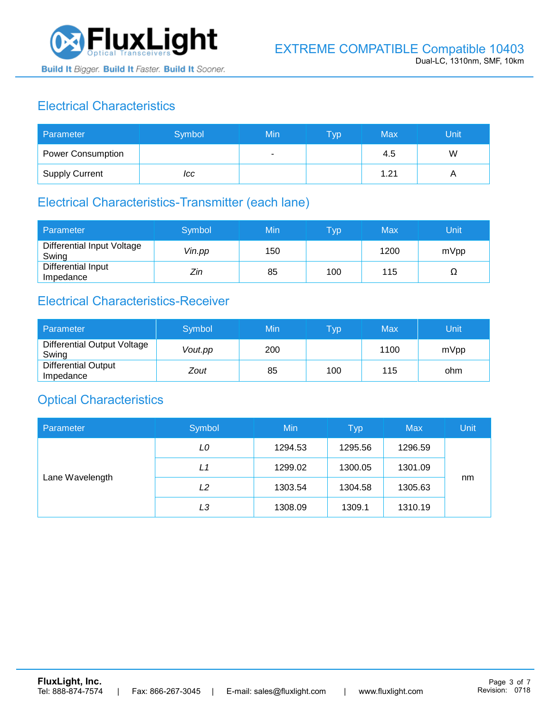

# Electrical Characteristics

| Parameter                | Symbol | Min | <b>Typ</b> | Max  | Unit |
|--------------------------|--------|-----|------------|------|------|
| <b>Power Consumption</b> |        | ۰   |            | 4.5  | W    |
| <b>Supply Current</b>    | ICC    |     |            | 1.21 |      |

### Electrical Characteristics-Transmitter (each lane)

| Parameter                           | Symbol | Min | $\mathsf{Typ}$ | Max  | Unit |
|-------------------------------------|--------|-----|----------------|------|------|
| Differential Input Voltage<br>Swing | Vin.pp | 150 |                | 1200 | mVpp |
| Differential Input<br>Impedance     | Zin    | 85  | 100            | 115  | Ω    |

## Electrical Characteristics-Receiver

| Parameter                               | Symbol  | Min | Typ | Max  | Unit |
|-----------------------------------------|---------|-----|-----|------|------|
| Differential Output Voltage<br>Swing    | Vout.pp | 200 |     | 1100 | mVpp |
| <b>Differential Output</b><br>Impedance | Zout    | 85  | 100 | 115  | ohm  |

### Optical Characteristics

| Parameter       | Symbol | Min     | <b>Typ</b> | <b>Max</b> | Unit |
|-----------------|--------|---------|------------|------------|------|
| Lane Wavelength | LO     | 1294.53 | 1295.56    | 1296.59    |      |
|                 | L1     | 1299.02 | 1300.05    | 1301.09    |      |
|                 | L2     | 1303.54 | 1304.58    | 1305.63    | nm   |
|                 | LЗ     | 1308.09 | 1309.1     | 1310.19    |      |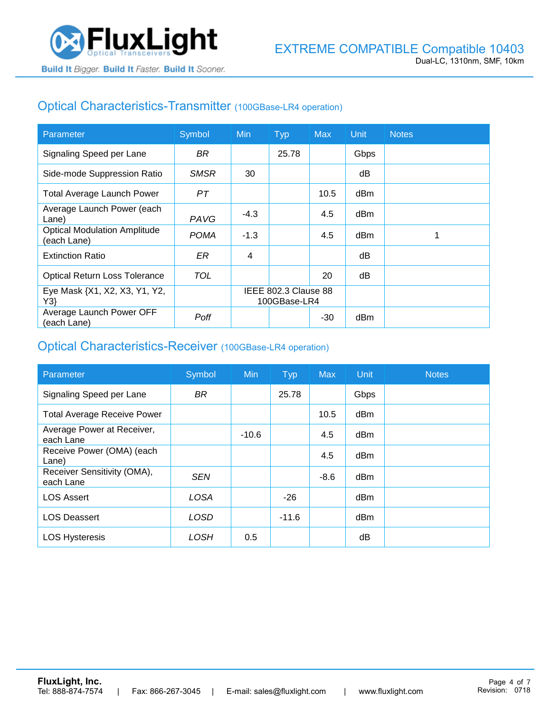

## Optical Characteristics-Transmitter (100GBase-LR4 operation)

| Parameter                                          | Symbol      | <b>Min</b>                           | <b>Typ</b> | <b>Max</b> | <b>Unit</b> | <b>Notes</b> |
|----------------------------------------------------|-------------|--------------------------------------|------------|------------|-------------|--------------|
| Signaling Speed per Lane                           | BR.         |                                      | 25.78      |            | Gbps        |              |
| Side-mode Suppression Ratio                        | <b>SMSR</b> | 30                                   |            |            | dB          |              |
| <b>Total Average Launch Power</b>                  | PT          |                                      |            | 10.5       | dBm         |              |
| Average Launch Power (each<br>Lane)                | PAVG        | $-4.3$                               |            | 4.5        | dBm         |              |
| <b>Optical Modulation Amplitude</b><br>(each Lane) | <b>POMA</b> | $-1.3$                               |            | 4.5        | dBm         |              |
| <b>Extinction Ratio</b>                            | ER          | 4                                    |            |            | dВ          |              |
| <b>Optical Return Loss Tolerance</b>               | TOL         |                                      |            | 20         | dB          |              |
| Eye Mask {X1, X2, X3, Y1, Y2,<br>Y3                |             | IEEE 802.3 Clause 88<br>100GBase-LR4 |            |            |             |              |
| Average Launch Power OFF<br>(each Lane)            | Poff        |                                      |            | $-30$      | dBm         |              |

#### Optical Characteristics-Receiver (100GBase-LR4 operation)

| Parameter                                | Symbol      | <b>Min</b> | <b>Typ</b> | <b>Max</b> | Unit | <b>Notes</b> |
|------------------------------------------|-------------|------------|------------|------------|------|--------------|
| Signaling Speed per Lane                 | <b>BR</b>   |            | 25.78      |            | Gbps |              |
| <b>Total Average Receive Power</b>       |             |            |            | 10.5       | dBm  |              |
| Average Power at Receiver,<br>each Lane  |             | $-10.6$    |            | 4.5        | dBm  |              |
| Receive Power (OMA) (each<br>Lane)       |             |            |            | 4.5        | dBm  |              |
| Receiver Sensitivity (OMA),<br>each Lane | <b>SEN</b>  |            |            | $-8.6$     | dBm  |              |
| <b>LOS Assert</b>                        | <b>LOSA</b> |            | $-26$      |            | dBm  |              |
| <b>LOS Deassert</b>                      | LOSD        |            | $-11.6$    |            | dBm  |              |
| <b>LOS Hysteresis</b>                    | LOSH        | 0.5        |            |            | dΒ   |              |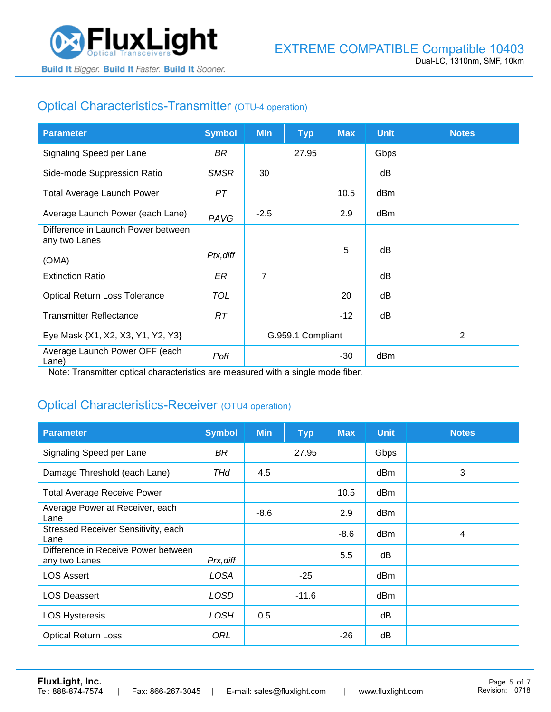

## Optical Characteristics-Transmitter (OTU-4 operation)

| <b>Parameter</b>                                    | <b>Symbol</b> | <b>Min</b>        | <b>Typ</b> | <b>Max</b> | <b>Unit</b> | <b>Notes</b>   |
|-----------------------------------------------------|---------------|-------------------|------------|------------|-------------|----------------|
| Signaling Speed per Lane                            | BR            |                   | 27.95      |            | Gbps        |                |
| Side-mode Suppression Ratio                         | <b>SMSR</b>   | 30                |            |            | dB          |                |
| <b>Total Average Launch Power</b>                   | PT            |                   |            | 10.5       | dBm         |                |
| Average Launch Power (each Lane)                    | PAVG          | $-2.5$            |            | 2.9        | dBm         |                |
| Difference in Launch Power between<br>any two Lanes |               |                   |            |            |             |                |
| (OMA)                                               | Ptx, diff     |                   |            | 5          | dB          |                |
| <b>Extinction Ratio</b>                             | ER            | 7                 |            |            | dB          |                |
| <b>Optical Return Loss Tolerance</b>                | <b>TOL</b>    |                   |            | 20         | dB          |                |
| <b>Transmitter Reflectance</b>                      | RT.           |                   |            | $-12$      | dB          |                |
| Eye Mask {X1, X2, X3, Y1, Y2, Y3}                   |               | G.959.1 Compliant |            |            |             | $\overline{2}$ |
| Average Launch Power OFF (each<br>Lane)             | Poff          |                   |            | -30        | dBm         |                |

Note: Transmitter optical characteristics are measured with a single mode fiber.

### Optical Characteristics-Receiver (OTU4 operation)

| <b>Parameter</b>                                     | <b>Symbol</b> | <b>Min</b> | <b>Typ</b> | <b>Max</b> | <b>Unit</b> | <b>Notes</b> |
|------------------------------------------------------|---------------|------------|------------|------------|-------------|--------------|
| Signaling Speed per Lane                             | BR            |            | 27.95      |            | Gbps        |              |
| Damage Threshold (each Lane)                         | THd           | 4.5        |            |            | dBm         | 3            |
| <b>Total Average Receive Power</b>                   |               |            |            | 10.5       | dBm         |              |
| Average Power at Receiver, each<br>Lane              |               | $-8.6$     |            | 2.9        | dBm         |              |
| Stressed Receiver Sensitivity, each<br>Lane          |               |            |            | $-8.6$     | dBm         | 4            |
| Difference in Receive Power between<br>any two Lanes | Prx, diff     |            |            | 5.5        | dB          |              |
| <b>LOS Assert</b>                                    | LOSA          |            | $-25$      |            | dBm         |              |
| <b>LOS Deassert</b>                                  | LOSD          |            | $-11.6$    |            | dBm         |              |
| <b>LOS Hysteresis</b>                                | <b>LOSH</b>   | 0.5        |            |            | dB          |              |
| <b>Optical Return Loss</b>                           | ORL           |            |            | $-26$      | dB          |              |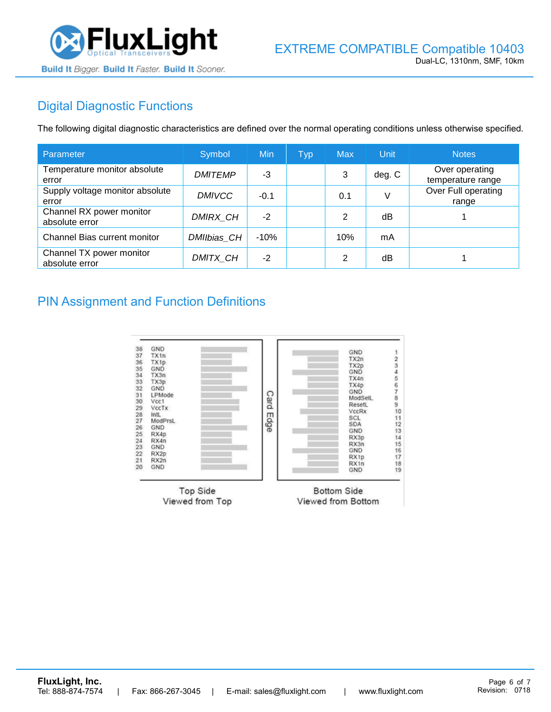

# Digital Diagnostic Functions

The following digital diagnostic characteristics are defined over the normal operating conditions unless otherwise specified.

| Parameter                                  | Symbol         | Min    | <b>Typ</b> | <b>Max</b>     | Unit   | <b>Notes</b>                        |
|--------------------------------------------|----------------|--------|------------|----------------|--------|-------------------------------------|
| Temperature monitor absolute<br>error      | <b>DMITEMP</b> | -3     |            | 3              | deg. C | Over operating<br>temperature range |
| Supply voltage monitor absolute<br>error   | <b>DMIVCC</b>  | $-0.1$ |            | 0.1            | V      | Over Full operating<br>range        |
| Channel RX power monitor<br>absolute error | DMIRX_CH       | $-2$   |            | 2              | dB     |                                     |
| Channel Bias current monitor               | DMIIbias CH    | $-10%$ |            | 10%            | mA     |                                     |
| Channel TX power monitor<br>absolute error | DMITX_CH       | $-2$   |            | $\mathfrak{p}$ | dB     |                                     |

#### PIN Assignment and Function Definitions